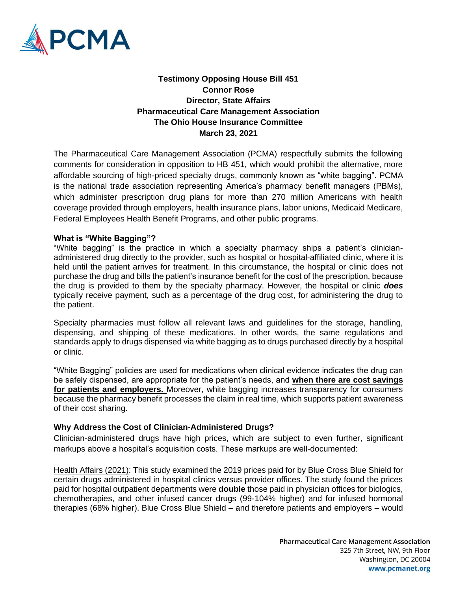

**Testimony Opposing House Bill 451 Connor Rose Director, State Affairs Pharmaceutical Care Management Association The Ohio House Insurance Committee March 23, 2021**

The Pharmaceutical Care Management Association (PCMA) respectfully submits the following comments for consideration in opposition to HB 451, which would prohibit the alternative, more affordable sourcing of high-priced specialty drugs, commonly known as "white bagging". PCMA is the national trade association representing America's pharmacy benefit managers (PBMs), which administer prescription drug plans for more than 270 million Americans with health coverage provided through employers, health insurance plans, labor unions, Medicaid Medicare, Federal Employees Health Benefit Programs, and other public programs.

## **What is "White Bagging"?**

"White bagging" is the practice in which a specialty pharmacy ships a patient's clinicianadministered drug directly to the provider, such as hospital or hospital-affiliated clinic, where it is held until the patient arrives for treatment. In this circumstance, the hospital or clinic does not purchase the drug and bills the patient's insurance benefit for the cost of the prescription, because the drug is provided to them by the specialty pharmacy. However, the hospital or clinic *does* typically receive payment, such as a percentage of the drug cost, for administering the drug to the patient.

Specialty pharmacies must follow all relevant laws and guidelines for the storage, handling, dispensing, and shipping of these medications. In other words, the same regulations and standards apply to drugs dispensed via white bagging as to drugs purchased directly by a hospital or clinic.

"White Bagging" policies are used for medications when clinical evidence indicates the drug can be safely dispensed, are appropriate for the patient's needs, and **when there are cost savings for patients and employers.** Moreover, white bagging increases transparency for consumers because the pharmacy benefit processes the claim in real time, which supports patient awareness of their cost sharing.

## **Why Address the Cost of Clinician-Administered Drugs?**

Clinician-administered drugs have high prices, which are subject to even further, significant markups above a hospital's acquisition costs. These markups are well-documented:

[Health Affairs \(2021\):](https://www.healthaffairs.org/doi/10.1377/hlthaff.2021.00211) This study examined the 2019 prices paid for by Blue Cross Blue Shield for certain drugs administered in hospital clinics versus provider offices. The study found the prices paid for hospital outpatient departments were **double** those paid in physician offices for biologics, chemotherapies, and other infused cancer drugs (99-104% higher) and for infused hormonal therapies (68% higher). Blue Cross Blue Shield – and therefore patients and employers – would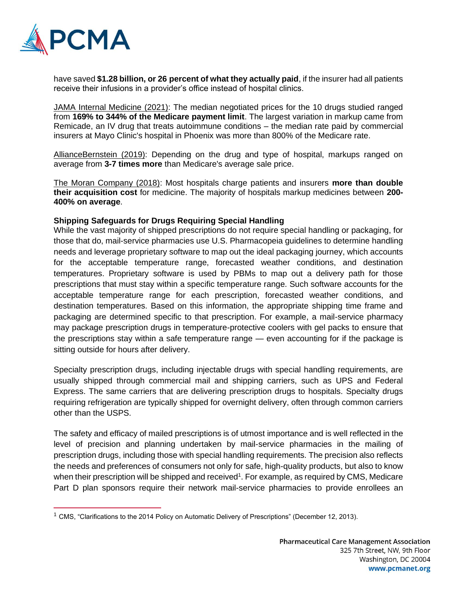

have saved **\$1.28 billion, or 26 percent of what they actually paid**, if the insurer had all patients receive their infusions in a provider's office instead of hospital clinics.

[JAMA Internal Medicine \(2021\):](https://jamanetwork.com/journals/jamainternalmedicine/article-abstract/2785833) The median negotiated prices for the 10 drugs studied ranged from **169% to 344% of the Medicare payment limit**. The largest variation in markup came from Remicade, an IV drug that treats autoimmune conditions – the median rate paid by commercial insurers at Mayo Clinic's hospital in Phoenix was more than 800% of the Medicare rate.

[AllianceBernstein \(2019\):](https://www.axios.com/hospital-charges-outpatient-drug-prices-markups-b0931c02-a254-4876-825f-4b53b38614a3.html) Depending on the drug and type of hospital, markups ranged on average from **3-7 times more** than Medicare's average sale price.

[The Moran Company \(2018\):](http://www.themorancompany.com/wp-content/uploads/2018/09/Hospital-Charges-Reimbursement-for-Medicines-August-2018.pdf) Most hospitals charge patients and insurers **more than double their acquisition cost** for medicine. The majority of hospitals markup medicines between **200- 400% on average**.

## **Shipping Safeguards for Drugs Requiring Special Handling**

While the vast majority of shipped prescriptions do not require special handling or packaging, for those that do, mail-service pharmacies use U.S. Pharmacopeia guidelines to determine handling needs and leverage proprietary software to map out the ideal packaging journey, which accounts for the acceptable temperature range, forecasted weather conditions, and destination temperatures. Proprietary software is used by PBMs to map out a delivery path for those prescriptions that must stay within a specific temperature range. Such software accounts for the acceptable temperature range for each prescription, forecasted weather conditions, and destination temperatures. Based on this information, the appropriate shipping time frame and packaging are determined specific to that prescription. For example, a mail-service pharmacy may package prescription drugs in temperature-protective coolers with gel packs to ensure that the prescriptions stay within a safe temperature range — even accounting for if the package is sitting outside for hours after delivery.

Specialty prescription drugs, including injectable drugs with special handling requirements, are usually shipped through commercial mail and shipping carriers, such as UPS and Federal Express. The same carriers that are delivering prescription drugs to hospitals. Specialty drugs requiring refrigeration are typically shipped for overnight delivery, often through common carriers other than the USPS.

The safety and efficacy of mailed prescriptions is of utmost importance and is well reflected in the level of precision and planning undertaken by mail-service pharmacies in the mailing of prescription drugs, including those with special handling requirements. The precision also reflects the needs and preferences of consumers not only for safe, high-quality products, but also to know when their prescription will be shipped and received<sup>1</sup>. For example, as required by CMS, Medicare Part D plan sponsors require their network mail-service pharmacies to provide enrollees an

 $1$  CMS, "Clarifications to the 2014 Policy on Automatic Delivery of Prescriptions" (December 12, 2013).